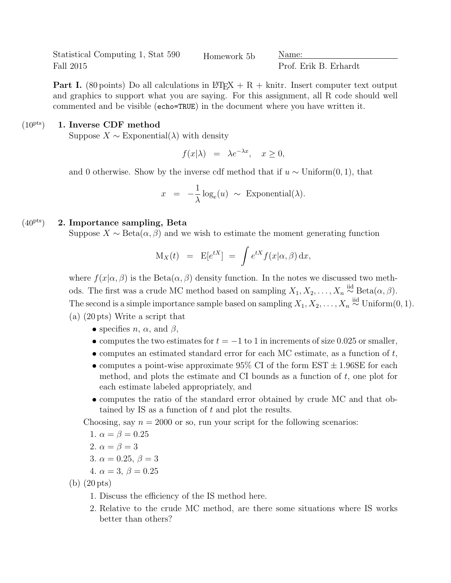Statistical Computing 1, Stat 590 Fall 2015

Homework 5b Name:

Prof. Erik B. Erhardt

**Part I.** (80 points) Do all calculations in LAT<sub>EX</sub> + R + knitr. Insert computer text output and graphics to support what you are saying. For this assignment, all R code should well commented and be visible (echo=TRUE) in the document where you have written it.

## $(10<sup>pts</sup>)$  1. Inverse CDF method

Suppose  $X \sim$  Exponential( $\lambda$ ) with density

$$
f(x|\lambda) = \lambda e^{-\lambda x}, \quad x \ge 0,
$$

and 0 otherwise. Show by the inverse cdf method that if  $u \sim$  Uniform(0, 1), that

$$
x = -\frac{1}{\lambda}\log_e(u) \sim \text{Exponential}(\lambda).
$$

## $(40<sup>pts</sup>)$  2. Importance sampling, Beta

Suppose  $X \sim \text{Beta}(\alpha, \beta)$  and we wish to estimate the moment generating function

$$
M_X(t) = E[e^{tX}] = \int e^{tX} f(x|\alpha, \beta) dx,
$$

where  $f(x|\alpha, \beta)$  is the Beta $(\alpha, \beta)$  density function. In the notes we discussed two methods. The first was a crude MC method based on sampling  $X_1, X_2, \ldots, X_n \stackrel{\text{iid}}{\sim} \text{Beta}(\alpha, \beta)$ . The second is a simple importance sample based on sampling  $X_1, X_2, \ldots, X_n \stackrel{\text{iid}}{\sim} \text{Uniform}(0, 1)$ . (a) (20 pts) Write a script that

- specifies  $n, \alpha$ , and  $\beta$ ,
- computes the two estimates for  $t = -1$  to 1 in increments of size 0.025 or smaller,
- computes an estimated standard error for each MC estimate, as a function of  $t$ ,
- computes a point-wise approximate  $95\%$  CI of the form EST  $\pm$  1.96SE for each method, and plots the estimate and CI bounds as a function of  $t$ , one plot for each estimate labeled appropriately, and
- computes the ratio of the standard error obtained by crude MC and that obtained by IS as a function of  $t$  and plot the results.

Choosing, say  $n = 2000$  or so, run your script for the following scenarios:

1. 
$$
\alpha = \beta = 0.25
$$

2. 
$$
\alpha = \beta = 3
$$

3. 
$$
\alpha = 0.25, \beta = 3
$$

4. 
$$
\alpha = 3, \beta = 0.25
$$

(b) (20 pts)

- 1. Discuss the efficiency of the IS method here.
- 2. Relative to the crude MC method, are there some situations where IS works better than others?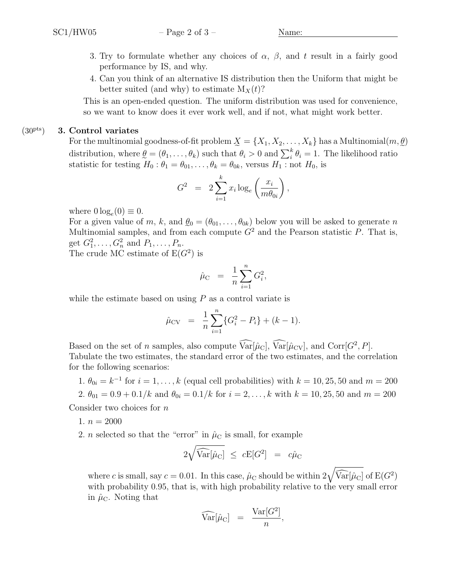- 3. Try to formulate whether any choices of  $\alpha$ ,  $\beta$ , and t result in a fairly good performance by IS, and why.
- 4. Can you think of an alternative IS distribution then the Uniform that might be better suited (and why) to estimate  $M_X(t)$ ?

This is an open-ended question. The uniform distribution was used for convenience, so we want to know does it ever work well, and if not, what might work better.

## $(30<sup>pts</sup>)$  3. Control variates

For the multinomial goodness-of-fit problem  $\mathcal{X} = \{X_1, X_2, \ldots, X_k\}$  has a Multinomial $(m, \underline{\theta})$ distribution, where  $\underline{\theta} = (\theta_1, \dots, \theta_k)$  such that  $\theta_i > 0$  and  $\sum_i^k \theta_i = 1$ . The likelihood ratio statistic for testing  $H_0: \theta_1 = \theta_{01}, \ldots, \theta_k = \theta_{0k}$ , versus  $H_1: \text{not } H_0$ , is

$$
G^2 = 2 \sum_{i=1}^k x_i \log_e \left( \frac{x_i}{m \theta_{0i}} \right),
$$

where  $0 \log_e(0) \equiv 0$ .

For a given value of m, k, and  $\ell_0 = (\theta_{01}, \ldots, \theta_{0k})$  below you will be asked to generate n Multinomial samples, and from each compute  $G^2$  and the Pearson statistic P. That is, get  $G_1^2, ..., G_n^2$  and  $P_1, ..., P_n$ .

The crude MC estimate of  $E(G^2)$  is

$$
\hat{\mu}_{\rm C} \ = \ \frac{1}{n} \sum_{i=1}^n G_i^2,
$$

while the estimate based on using  $P$  as a control variate is

$$
\hat{\mu}_{CV} = \frac{1}{n} \sum_{i=1}^{n} \{G_i^2 - P_i\} + (k - 1).
$$

Based on the set of *n* samples, also compute  $Var[\hat{\mu}_C]$ ,  $Var[\hat{\mu}_{CV}]$ , and  $Corr[G^2, P]$ . Tabulate the two estimates, the standard error of the two estimates, and the correlation for the following scenarios:

1.  $\theta_{0i} = k^{-1}$  for  $i = 1, ..., k$  (equal cell probabilities) with  $k = 10, 25, 50$  and  $m = 200$ 

2. 
$$
\theta_{01} = 0.9 + 0.1/k
$$
 and  $\theta_{0i} = 0.1/k$  for  $i = 2, ..., k$  with  $k = 10, 25, 50$  and  $m = 200$ 

Consider two choices for  $n$ 

- 1.  $n = 2000$
- 2. *n* selected so that the "error" in  $\hat{\mu}_C$  is small, for example

$$
2\sqrt{\widehat{\text{Var}}[\hat{\mu}_\text{C}]} \ \leq \ c\text{E}[G^2] \ = \ c\hat{\mu}_\text{C}
$$

where c is small, say  $c = 0.01$ . In this case,  $\hat{\mu}_C$  should be within  $2\sqrt{\widehat{\text{Var}}[\hat{\mu}_C]}$  of  $E(G^2)$ with probability 0.95, that is, with high probability relative to the very small error in  $\hat{\mu}_C$ . Noting that

$$
\widehat{\text{Var}}[\hat{\mu}_C] = \frac{\text{Var}[G^2]}{n},
$$